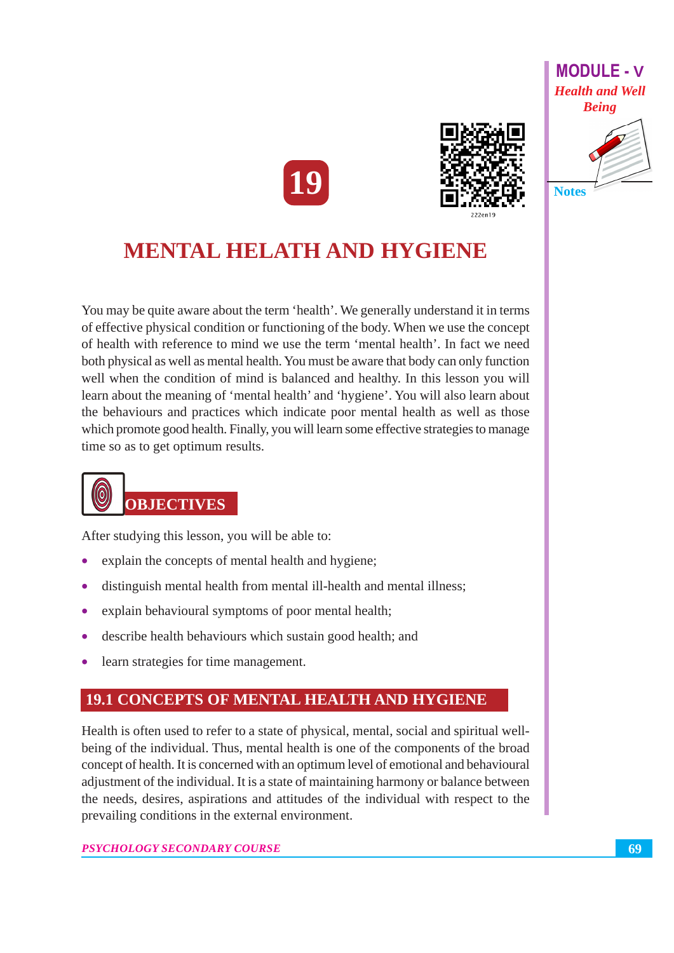



# **MENTAL HELATH AND HYGIENE**

You may be quite aware about the term 'health'. We generally understand it in terms of effective physical condition or functioning of the body. When we use the concept of health with reference to mind we use the term 'mental health'. In fact we need both physical as well as mental health. You must be aware that body can only function well when the condition of mind is balanced and healthy. In this lesson you will learn about the meaning of 'mental health' and 'hygiene'. You will also learn about the behaviours and practices which indicate poor mental health as well as those which promote good health. Finally, you will learn some effective strategies to manage time so as to get optimum results.



### **OBJECTIVES**

After studying this lesson, you will be able to:

- explain the concepts of mental health and hygiene;
- distinguish mental health from mental ill-health and mental illness;
- $\bullet$ explain behavioural symptoms of poor mental health;
- describe health behaviours which sustain good health; and
- learn strategies for time management.  $\bullet$

## **19.1 CONCEPTS OF MENTAL HEALTH AND HYGIENE**

Health is often used to refer to a state of physical, mental, social and spiritual wellbeing of the individual. Thus, mental health is one of the components of the broad concept of health. It is concerned with an optimum level of emotional and behavioural adjustment of the individual. It is a state of maintaining harmony or balance between the needs, desires, aspirations and attitudes of the individual with respect to the prevailing conditions in the external environment.

PSYCHOLOGY SECONDARY COURSE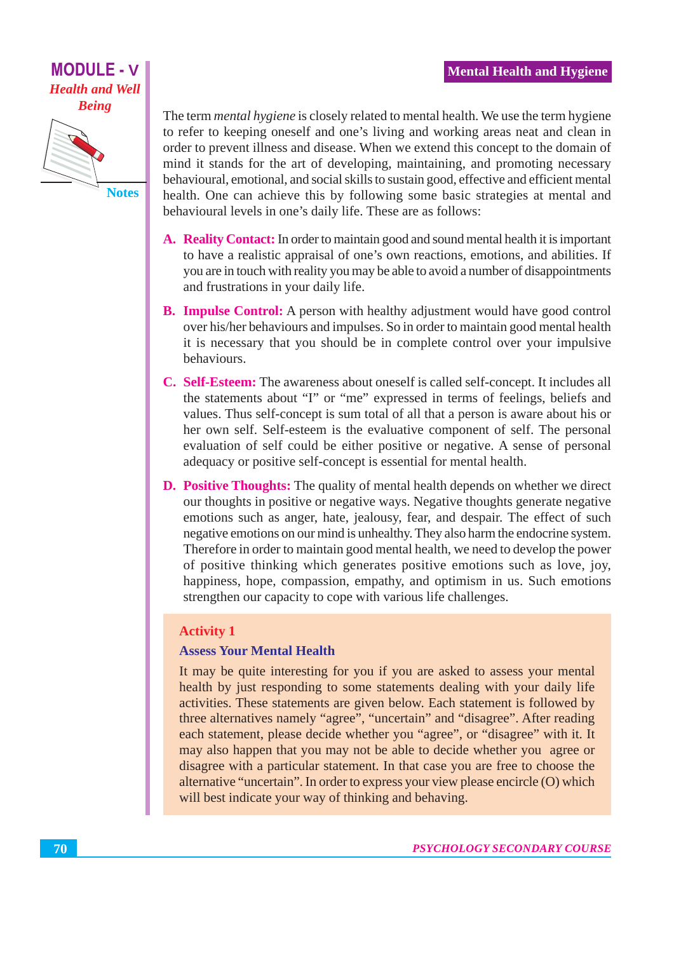

The term *mental hygiene* is closely related to mental health. We use the term hygiene to refer to keeping oneself and one's living and working areas neat and clean in order to prevent illness and disease. When we extend this concept to the domain of mind it stands for the art of developing, maintaining, and promoting necessary behavioural, emotional, and social skills to sustain good, effective and efficient mental health. One can achieve this by following some basic strategies at mental and behavioural levels in one's daily life. These are as follows:

- A. Reality Contact: In order to maintain good and sound mental health it is important to have a realistic appraisal of one's own reactions, emotions, and abilities. If you are in touch with reality you may be able to avoid a number of disappointments and frustrations in your daily life.
- **B. Impulse Control:** A person with healthy adjustment would have good control over his/her behaviours and impulses. So in order to maintain good mental health it is necessary that you should be in complete control over your impulsive behaviours.
- C. Self-Esteem: The awareness about oneself is called self-concept. It includes all the statements about "I" or "me" expressed in terms of feelings, beliefs and values. Thus self-concept is sum total of all that a person is aware about his or her own self. Self-esteem is the evaluative component of self. The personal evaluation of self could be either positive or negative. A sense of personal adequacy or positive self-concept is essential for mental health.
- **D. Positive Thoughts:** The quality of mental health depends on whether we direct our thoughts in positive or negative ways. Negative thoughts generate negative emotions such as anger, hate, jealousy, fear, and despair. The effect of such negative emotions on our mind is unhealthy. They also harm the endocrine system. Therefore in order to maintain good mental health, we need to develop the power of positive thinking which generates positive emotions such as love, joy, happiness, hope, compassion, empathy, and optimism in us. Such emotions strengthen our capacity to cope with various life challenges.

#### **Activity 1**

#### **Assess Your Mental Health**

It may be quite interesting for you if you are asked to assess your mental health by just responding to some statements dealing with your daily life activities. These statements are given below. Each statement is followed by three alternatives namely "agree", "uncertain" and "disagree". After reading each statement, please decide whether you "agree", or "disagree" with it. It may also happen that you may not be able to decide whether you agree or disagree with a particular statement. In that case you are free to choose the alternative "uncertain". In order to express your view please encircle (O) which will best indicate your way of thinking and behaving.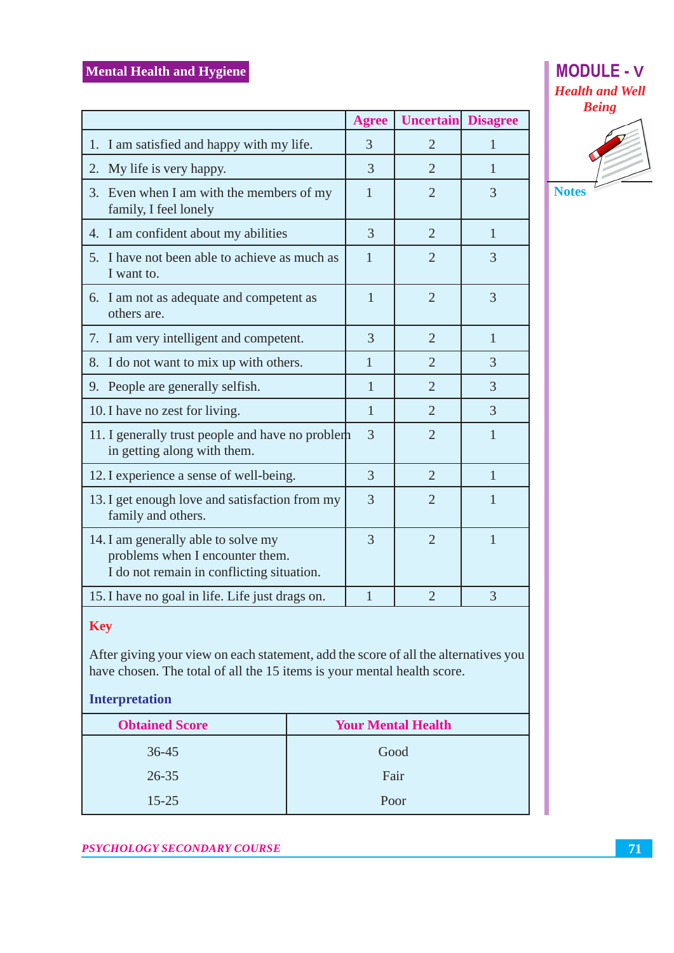|                                                                                                                     | <b>Agree</b>   | <b>Uncertain</b> | <b>Disagree</b> |
|---------------------------------------------------------------------------------------------------------------------|----------------|------------------|-----------------|
| 1. I am satisfied and happy with my life.                                                                           | 3              | $\overline{2}$   | 1               |
| My life is very happy.<br>2.                                                                                        | 3              | $\overline{2}$   | 1               |
| 3. Even when I am with the members of my<br>family, I feel lonely                                                   | 1              | $\overline{2}$   | 3               |
| 4. I am confident about my abilities                                                                                | 3              | $\overline{2}$   | 1               |
| 5. I have not been able to achieve as much as<br>I want to.                                                         | 1              | $\overline{2}$   | 3               |
| 6. I am not as adequate and competent as<br>others are.                                                             | 1              | $\overline{2}$   | 3               |
| 7. I am very intelligent and competent.                                                                             | 3              | $\overline{2}$   | 1               |
| 8. I do not want to mix up with others.                                                                             | $\mathbf{1}$   | $\overline{2}$   | $\overline{3}$  |
| 9. People are generally selfish.                                                                                    | 1              | $\overline{2}$   | 3               |
| 10. I have no zest for living.                                                                                      | 1              | $\overline{2}$   | 3               |
| 11. I generally trust people and have no problem<br>in getting along with them.                                     | 3              | $\overline{2}$   | 1               |
| 12. I experience a sense of well-being.                                                                             | 3              | $\overline{2}$   | $\mathbf{1}$    |
| 13. I get enough love and satisfaction from my<br>family and others.                                                | 3              | $\overline{2}$   | 1               |
| 14. I am generally able to solve my<br>problems when I encounter them.<br>I do not remain in conflicting situation. | 3              | $\overline{2}$   | $\mathbf{1}$    |
| 15. I have no goal in life. Life just drags on.                                                                     | $\overline{1}$ | $\overline{2}$   | 3               |
| Key                                                                                                                 |                |                  |                 |





| <b>Obtained Score</b> | <b>Your Mental Health</b> |
|-----------------------|---------------------------|
| $36 - 45$             | Good                      |
| $26 - 35$             | Fair                      |
| $15 - 25$             | Poor                      |

After giving your view on each statement, add the score of all the alternatives you

have chosen. The total of all the 15 items is your mental health score.

#### PSYCHOLOGY SECONDARY COURSE

**Interpretation**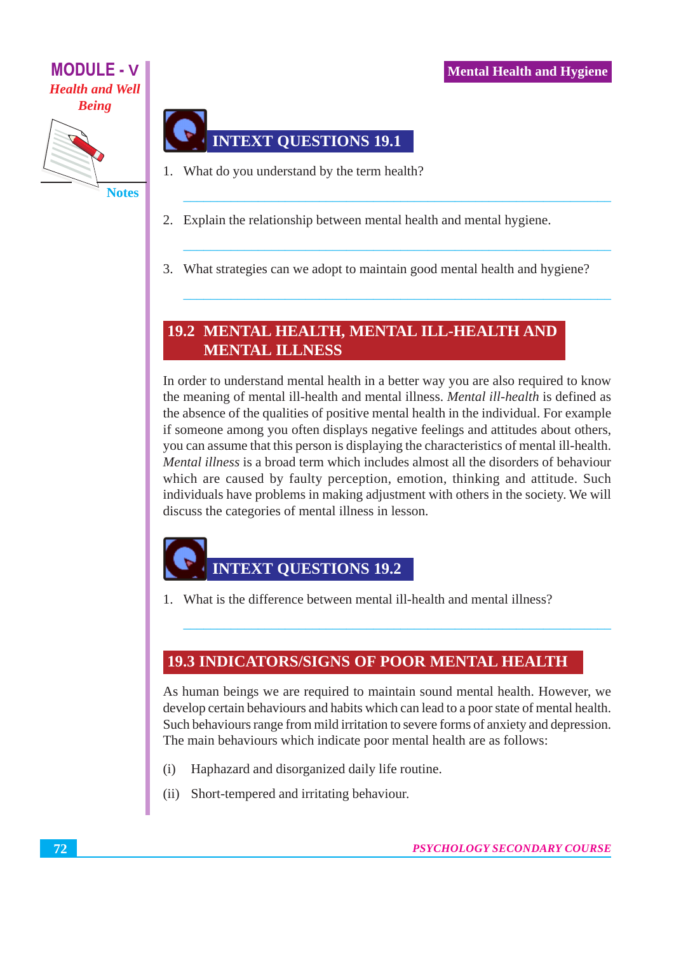

# **INTEXT QUESTIONS 19.1**

- 1. What do you understand by the term health?
- 2. Explain the relationship between mental health and mental hygiene.
- 3. What strategies can we adopt to maintain good mental health and hygiene?

## 19.2 MENTAL HEALTH, MENTAL ILL-HEALTH AND **MENTAL ILLNESS**

In order to understand mental health in a better way you are also required to know the meaning of mental ill-health and mental illness. *Mental ill-health* is defined as the absence of the qualities of positive mental health in the individual. For example if someone among you often displays negative feelings and attitudes about others, you can assume that this person is displaying the characteristics of mental ill-health. *Mental illness* is a broad term which includes almost all the disorders of behaviour which are caused by faulty perception, emotion, thinking and attitude. Such individuals have problems in making adjustment with others in the society. We will discuss the categories of mental illness in lesson.

# **INTEXT OUESTIONS 19.2**

1. What is the difference between mental ill-health and mental illness?

### **19.3 INDICATORS/SIGNS OF POOR MENTAL HEALTH**

As human beings we are required to maintain sound mental health. However, we develop certain behaviours and habits which can lead to a poor state of mental health. Such behaviours range from mild irritation to severe forms of anxiety and depression. The main behaviours which indicate poor mental health are as follows:

- $(i)$ Haphazard and disorganized daily life routine.
- Short-tempered and irritating behaviour.  $(i)$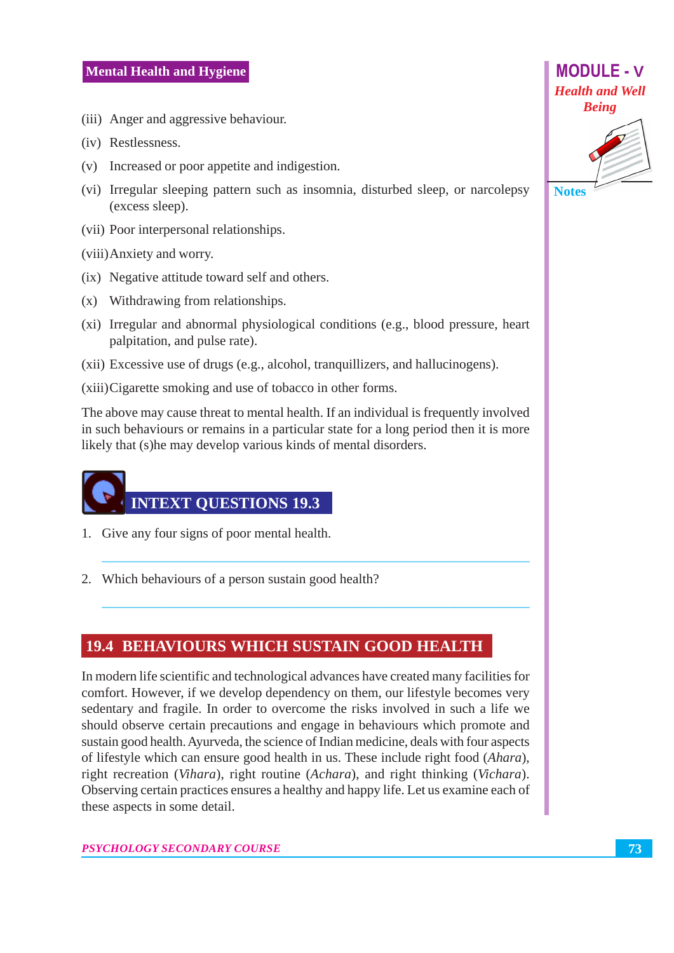- (iii) Anger and aggressive behaviour.
- (iv) Restlessness.
- (v) Increased or poor appetite and indigestion.
- (vi) Irregular sleeping pattern such as insomnia, disturbed sleep, or narcolepsy (excess sleep).
- (vii) Poor interpersonal relationships.

(viii) Anxiety and worry.

- (ix) Negative attitude toward self and others.
- (x) Withdrawing from relationships.
- (xi) Irregular and abnormal physiological conditions (e.g., blood pressure, heart palpitation, and pulse rate).
- (xii) Excessive use of drugs (e.g., alcohol, tranquillizers, and hallucinogens).

(xiii) Cigarette smoking and use of tobacco in other forms.

The above may cause threat to mental health. If an individual is frequently involved in such behaviours or remains in a particular state for a long period then it is more likely that (s) he may develop various kinds of mental disorders.

# **INTEXT QUESTIONS 19.3**

- 1. Give any four signs of poor mental health.
- 2. Which behaviours of a person sustain good health?

#### **19.4 BEHAVIOURS WHICH SUSTAIN GOOD HEALTH**

In modern life scientific and technological advances have created many facilities for comfort. However, if we develop dependency on them, our lifestyle becomes very sedentary and fragile. In order to overcome the risks involved in such a life we should observe certain precautions and engage in behaviours which promote and sustain good health. Ayurveda, the science of Indian medicine, deals with four aspects of lifestyle which can ensure good health in us. These include right food (*Ahara*), right recreation (Vihara), right routine (Achara), and right thinking (Vichara). Observing certain practices ensures a healthy and happy life. Let us examine each of these aspects in some detail.

**PSYCHOLOGY SECONDARY COURSE** 

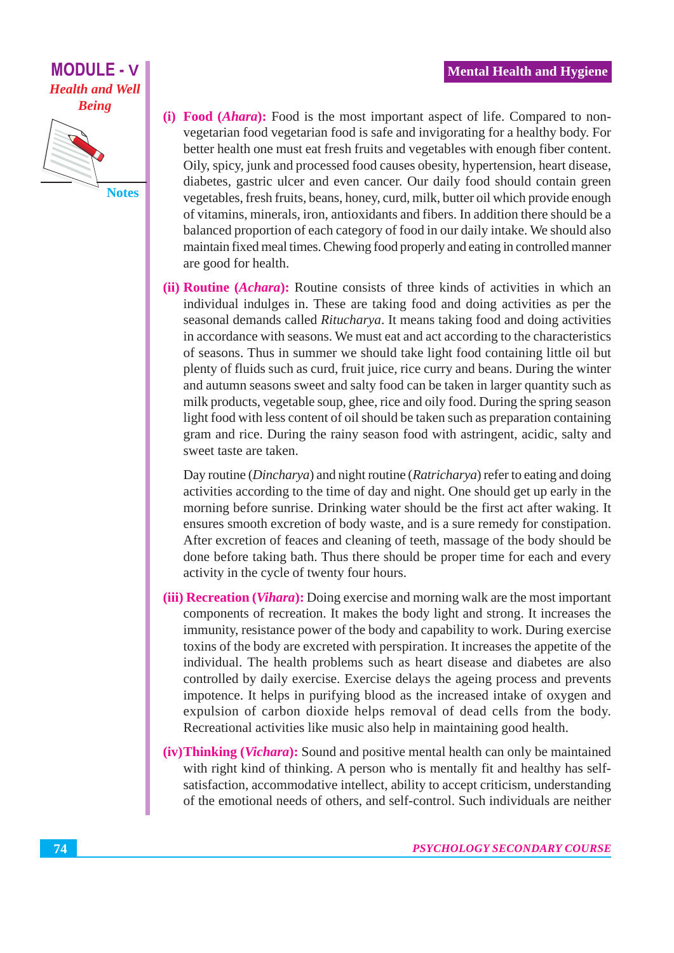**Notes** 

- (i) Food (*Ahara*): Food is the most important aspect of life. Compared to nonvegetarian food vegetarian food is safe and invigorating for a healthy body. For better health one must eat fresh fruits and vegetables with enough fiber content. Oily, spicy, junk and processed food causes obesity, hypertension, heart disease, diabetes, gastric ulcer and even cancer. Our daily food should contain green vegetables, fresh fruits, beans, honey, curd, milk, butter oil which provide enough of vitamins, minerals, iron, antioxidants and fibers. In addition there should be a balanced proportion of each category of food in our daily intake. We should also maintain fixed meal times. Chewing food properly and eating in controlled manner are good for health.
- (ii) **Routine** (*Achara*): Routine consists of three kinds of activities in which an individual indulges in. These are taking food and doing activities as per the seasonal demands called *Ritucharya*. It means taking food and doing activities in accordance with seasons. We must eat and act according to the characteristics of seasons. Thus in summer we should take light food containing little oil but plenty of fluids such as curd, fruit juice, rice curry and beans. During the winter and autumn seasons sweet and salty food can be taken in larger quantity such as milk products, vegetable soup, ghee, rice and oily food. During the spring season light food with less content of oil should be taken such as preparation containing gram and rice. During the rainy season food with astringent, acidic, salty and sweet taste are taken.

Day routine (*Dincharya*) and night routine (*Ratricharya*) refer to eating and doing activities according to the time of day and night. One should get up early in the morning before sunrise. Drinking water should be the first act after waking. It ensures smooth excretion of body waste, and is a sure remedy for constipation. After excretion of feaces and cleaning of teeth, massage of the body should be done before taking bath. Thus there should be proper time for each and every activity in the cycle of twenty four hours.

- (iii) Recreation (*Vihara*): Doing exercise and morning walk are the most important components of recreation. It makes the body light and strong. It increases the immunity, resistance power of the body and capability to work. During exercise toxins of the body are excreted with perspiration. It increases the appetite of the individual. The health problems such as heart disease and diabetes are also controlled by daily exercise. Exercise delays the ageing process and prevents impotence. It helps in purifying blood as the increased intake of oxygen and expulsion of carbon dioxide helps removal of dead cells from the body. Recreational activities like music also help in maintaining good health.
- (iv) Thinking (*Vichara*): Sound and positive mental health can only be maintained with right kind of thinking. A person who is mentally fit and healthy has selfsatisfaction, accommodative intellect, ability to accept criticism, understanding of the emotional needs of others, and self-control. Such individuals are neither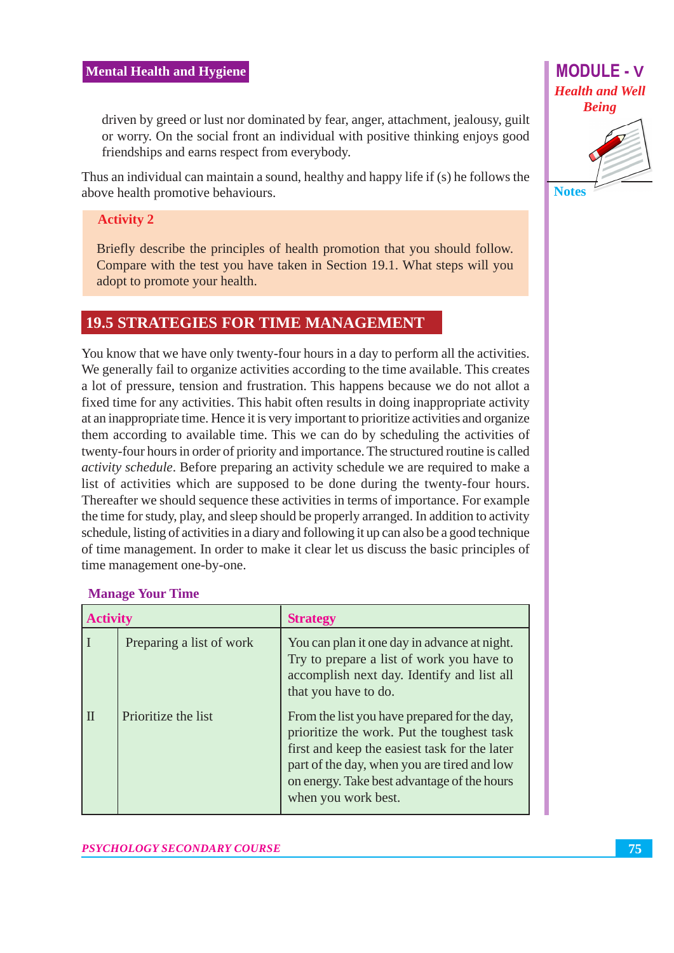driven by greed or lust nor dominated by fear, anger, attachment, jealousy, guilt or worry. On the social front an individual with positive thinking enjoys good friendships and earns respect from everybody.

Thus an individual can maintain a sound, healthy and happy life if (s) he follows the above health promotive behaviours.

#### **Activity 2**

Briefly describe the principles of health promotion that you should follow. Compare with the test you have taken in Section 19.1. What steps will you adopt to promote your health.

#### **19.5 STRATEGIES FOR TIME MANAGEMENT**

You know that we have only twenty-four hours in a day to perform all the activities. We generally fail to organize activities according to the time available. This creates a lot of pressure, tension and frustration. This happens because we do not allot a fixed time for any activities. This habit often results in doing inappropriate activity at an inappropriate time. Hence it is very important to prioritize activities and organize them according to available time. This we can do by scheduling the activities of twenty-four hours in order of priority and importance. The structured routine is called *activity schedule.* Before preparing an activity schedule we are required to make a list of activities which are supposed to be done during the twenty-four hours. Thereafter we should sequence these activities in terms of importance. For example the time for study, play, and sleep should be properly arranged. In addition to activity schedule, listing of activities in a diary and following it up can also be a good technique of time management. In order to make it clear let us discuss the basic principles of time management one-by-one.

| <b>Activity</b> |                          | <b>Strategy</b>                                                                                                                                                                                                                                                  |  |
|-----------------|--------------------------|------------------------------------------------------------------------------------------------------------------------------------------------------------------------------------------------------------------------------------------------------------------|--|
|                 | Preparing a list of work | You can plan it one day in advance at night.<br>Try to prepare a list of work you have to<br>accomplish next day. Identify and list all<br>that you have to do.                                                                                                  |  |
| $\mathbf$       | Prioritize the list      | From the list you have prepared for the day,<br>prioritize the work. Put the toughest task<br>first and keep the easiest task for the later<br>part of the day, when you are tired and low<br>on energy. Take best advantage of the hours<br>when you work best. |  |

#### **Manage Your Time**

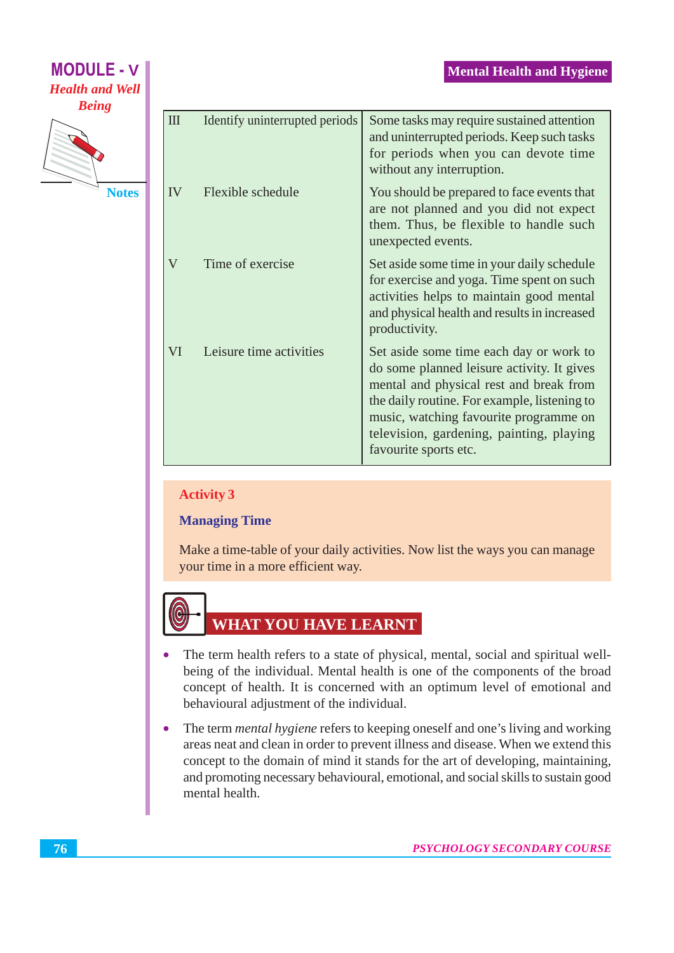| <b>MODULE - V</b>                      | <b>Mental Health and Hygiene</b> |                                |                                                                                                                                                                                                                                                                                                 |  |  |
|----------------------------------------|----------------------------------|--------------------------------|-------------------------------------------------------------------------------------------------------------------------------------------------------------------------------------------------------------------------------------------------------------------------------------------------|--|--|
| <b>Health and Well</b><br><b>Being</b> |                                  |                                |                                                                                                                                                                                                                                                                                                 |  |  |
|                                        | $\mathbf{I}$                     | Identify uninterrupted periods | Some tasks may require sustained attention<br>and uninterrupted periods. Keep such tasks<br>for periods when you can devote time<br>without any interruption.                                                                                                                                   |  |  |
| <b>Notes</b>                           | IV                               | Flexible schedule              | You should be prepared to face events that<br>are not planned and you did not expect<br>them. Thus, be flexible to handle such<br>unexpected events.                                                                                                                                            |  |  |
|                                        | V                                | Time of exercise               | Set aside some time in your daily schedule<br>for exercise and yoga. Time spent on such<br>activities helps to maintain good mental<br>and physical health and results in increased<br>productivity.                                                                                            |  |  |
|                                        | VI                               | Leisure time activities        | Set aside some time each day or work to<br>do some planned leisure activity. It gives<br>mental and physical rest and break from<br>the daily routine. For example, listening to<br>music, watching favourite programme on<br>television, gardening, painting, playing<br>favourite sports etc. |  |  |

#### **Activity 3**

#### **Managing Time**

Make a time-table of your daily activities. Now list the ways you can manage your time in a more efficient way.



**MODULE - V** 

# **WHAT YOU HAVE LEARNT**

- The term health refers to a state of physical, mental, social and spiritual well- $\bullet$ being of the individual. Mental health is one of the components of the broad concept of health. It is concerned with an optimum level of emotional and behavioural adjustment of the individual.
- The term *mental hygiene* refers to keeping oneself and one's living and working  $\bullet$ areas neat and clean in order to prevent illness and disease. When we extend this concept to the domain of mind it stands for the art of developing, maintaining, and promoting necessary behavioural, emotional, and social skills to sustain good mental health.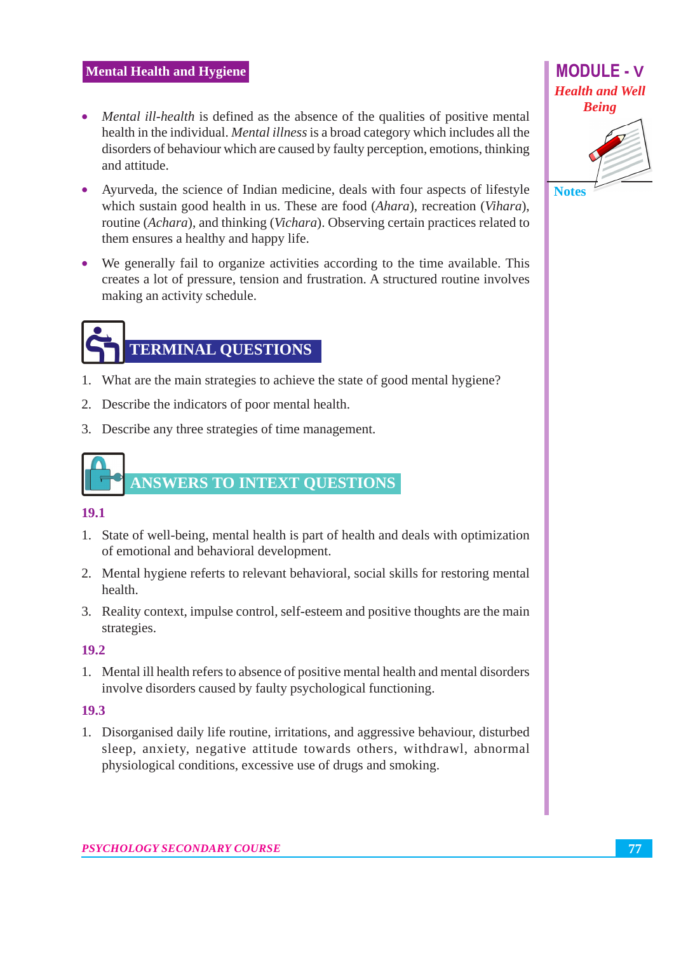- Mental ill-health is defined as the absence of the qualities of positive mental health in the individual. Mental illness is a broad category which includes all the disorders of behaviour which are caused by faulty perception, emotions, thinking and attitude.
- Ayurveda, the science of Indian medicine, deals with four aspects of lifestyle which sustain good health in us. These are food (Ahara), recreation (Vihara), routine (Achara), and thinking (Vichara). Observing certain practices related to them ensures a healthy and happy life.
- We generally fail to organize activities according to the time available. This creates a lot of pressure, tension and frustration. A structured routine involves making an activity schedule.

# **TERMINAL QUESTIONS**

- 1. What are the main strategies to achieve the state of good mental hygiene?
- 2. Describe the indicators of poor mental health.
- 3. Describe any three strategies of time management.

# **ANSWERS TO INTEXT QUESTIONS**

#### 19.1

- 1. State of well-being, mental health is part of health and deals with optimization of emotional and behavioral development.
- 2. Mental hygiene referts to relevant behavioral, social skills for restoring mental health.
- 3. Reality context, impulse control, self-esteem and positive thoughts are the main strategies.

#### 19.2

1. Mental ill health refers to absence of positive mental health and mental disorders involve disorders caused by faulty psychological functioning.

#### 19.3

1. Disorganised daily life routine, irritations, and aggressive behaviour, disturbed sleep, anxiety, negative attitude towards others, withdrawl, abnormal physiological conditions, excessive use of drugs and smoking.

**Notes**